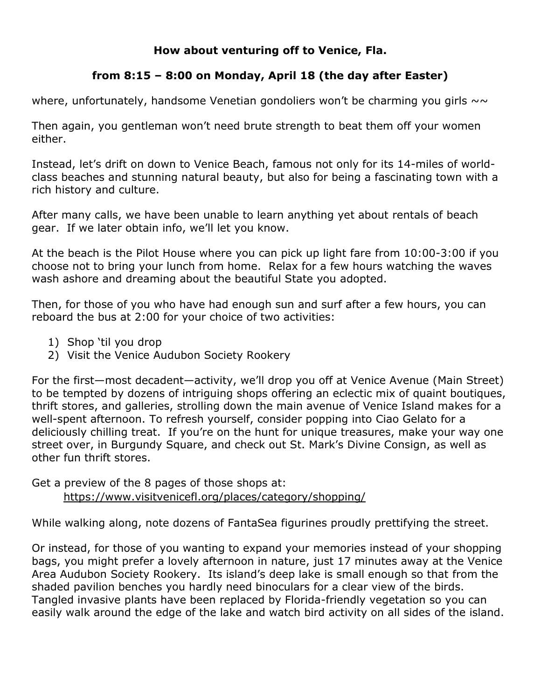## **How about venturing off to Venice, Fla.**

## **from 8:15 – 8:00 on Monday, April 18 (the day after Easter)**

where, unfortunately, handsome Venetian gondoliers won't be charming you girls  $\sim \sim$ 

Then again, you gentleman won't need brute strength to beat them off your women either.

Instead, let's drift on down to Venice Beach, famous not only for its 14-miles of worldclass beaches and stunning natural beauty, but also for being a fascinating town with a rich history and culture.

After many calls, we have been unable to learn anything yet about rentals of beach gear. If we later obtain info, we'll let you know.

At the beach is the Pilot House where you can pick up light fare from 10:00-3:00 if you choose not to bring your lunch from home. Relax for a few hours watching the waves wash ashore and dreaming about the beautiful State you adopted.

Then, for those of you who have had enough sun and surf after a few hours, you can reboard the bus at 2:00 for your choice of two activities:

- 1) Shop 'til you drop
- 2) Visit the Venice Audubon Society Rookery

For the first—most decadent—activity, we'll drop you off at Venice Avenue (Main Street) to be tempted by dozens of intriguing shops offering an eclectic mix of quaint boutiques, thrift stores, and galleries, strolling down the main avenue of Venice Island makes for a well-spent afternoon. To refresh yourself, consider popping into [Ciao Gelato](about:blank) for a deliciously chilling treat. If you're on the hunt for unique treasures, make your way one street over, in Burgundy Square, and check out St. Mark's Divine Consign, as well as other fun thrift stores.

Get a preview of the 8 pages of those shops at: <https://www.visitvenicefl.org/places/category/shopping/>

While walking along, note dozens of FantaSea figurines proudly prettifying the street.

Or instead, for those of you wanting to expand your memories instead of your shopping bags, you might prefer a lovely afternoon in nature, just 17 minutes away at the Venice Area Audubon Society Rookery. Its island's deep lake is small enough so that from the shaded pavilion benches you hardly need binoculars for a clear view of the birds. Tangled invasive plants have been replaced by Florida-friendly vegetation so you can easily walk around the edge of the lake and watch bird activity on all sides of the island.